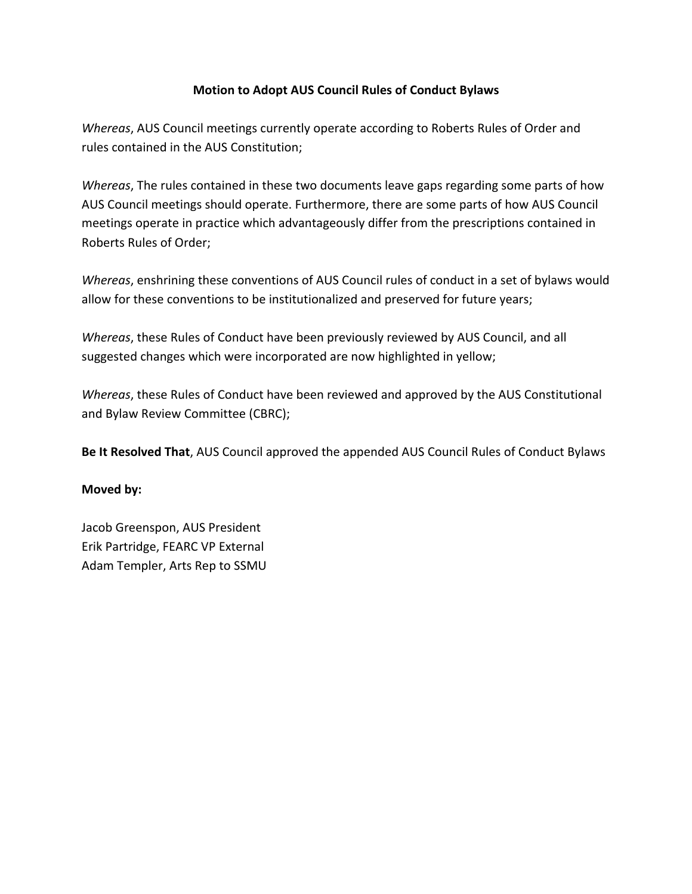### **Motion to Adopt AUS Council Rules of Conduct Bylaws**

*Whereas*, AUS Council meetings currently operate according to Roberts Rules of Order and rules contained in the AUS Constitution;

*Whereas*, The rules contained in these two documents leave gaps regarding some parts of how AUS Council meetings should operate. Furthermore, there are some parts of how AUS Council meetings operate in practice which advantageously differ from the prescriptions contained in Roberts Rules of Order;

*Whereas*, enshrining these conventions of AUS Council rules of conduct in a set of bylaws would allow for these conventions to be institutionalized and preserved for future years;

*Whereas*, these Rules of Conduct have been previously reviewed by AUS Council, and all suggested changes which were incorporated are now highlighted in yellow;

*Whereas*, these Rules of Conduct have been reviewed and approved by the AUS Constitutional and Bylaw Review Committee (CBRC);

**Be It Resolved That**, AUS Council approved the appended AUS Council Rules of Conduct Bylaws

### **Moved** by:

Jacob Greenspon, AUS President Erik Partridge, FEARC VP External Adam Templer, Arts Rep to SSMU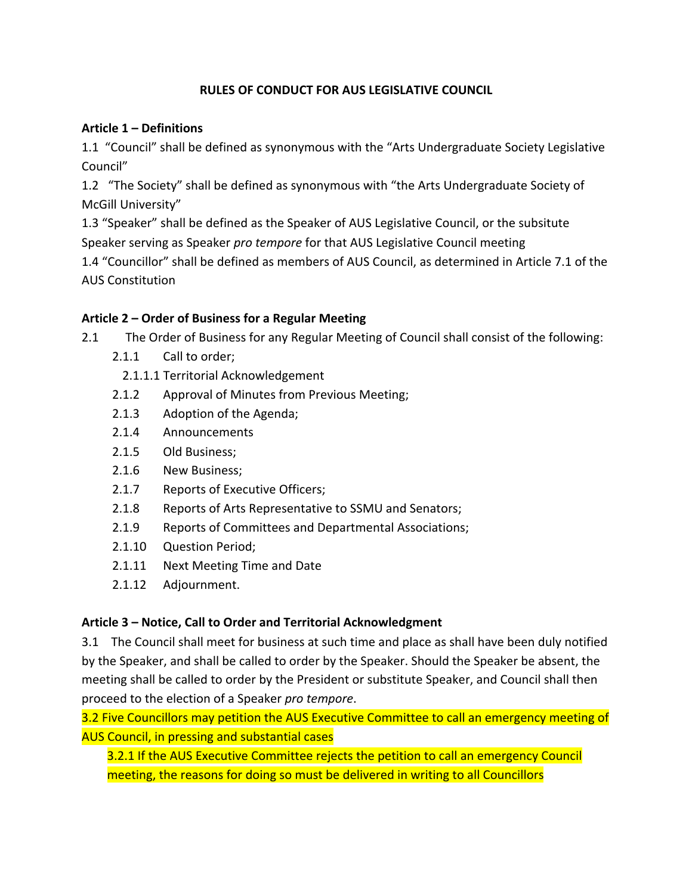### **RULES OF CONDUCT FOR AUS LEGISLATIVE COUNCIL**

#### **Article 1 – Definitions**

1.1 "Council" shall be defined as synonymous with the "Arts Undergraduate Society Legislative Council"

1.2 "The Society" shall be defined as synonymous with "the Arts Undergraduate Society of McGill University"

1.3 "Speaker" shall be defined as the Speaker of AUS Legislative Council, or the subsitute Speaker serving as Speaker *pro tempore* for that AUS Legislative Council meeting 1.4 "Councillor" shall be defined as members of AUS Council, as determined in Article 7.1 of the **AUS Constitution** 

### Article 2 – Order of Business for a Regular Meeting

2.1 The Order of Business for any Regular Meeting of Council shall consist of the following:

- 2.1.1 Call to order;
	- 2.1.1.1 Territorial Acknowledgement
- 2.1.2 Approval of Minutes from Previous Meeting;
- 2.1.3 Adoption of the Agenda;
- 2.1.4 Announcements
- 2.1.5 Old Business;
- 2.1.6 New Business;
- 2.1.7 Reports of Executive Officers;
- 2.1.8 Reports of Arts Representative to SSMU and Senators;
- 2.1.9 Reports of Committees and Departmental Associations;
- 2.1.10 Question Period;
- 2.1.11 Next Meeting Time and Date
- 2.1.12 Adjournment.

### Article 3 – Notice, Call to Order and Territorial Acknowledgment

3.1 The Council shall meet for business at such time and place as shall have been duly notified by the Speaker, and shall be called to order by the Speaker. Should the Speaker be absent, the meeting shall be called to order by the President or substitute Speaker, and Council shall then proceed to the election of a Speaker *pro tempore*.

3.2 Five Councillors may petition the AUS Executive Committee to call an emergency meeting of AUS Council, in pressing and substantial cases

3.2.1 If the AUS Executive Committee rejects the petition to call an emergency Council meeting, the reasons for doing so must be delivered in writing to all Councillors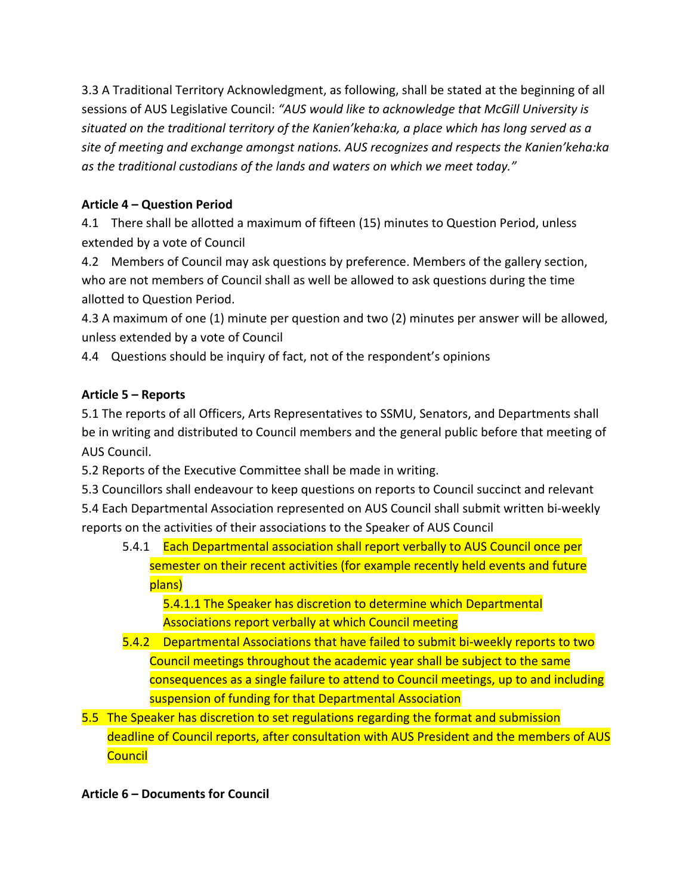3.3 A Traditional Territory Acknowledgment, as following, shall be stated at the beginning of all sessions of AUS Legislative Council: "AUS would like to acknowledge that McGill University is *situated on the traditional territory of the Kanien'keha:ka, a place which has long served as a*  site of meeting and exchange amongst nations. AUS recognizes and respects the Kanien'keha:ka as the traditional custodians of the lands and waters on which we meet today."

# **Article 4 – Question Period**

4.1 There shall be allotted a maximum of fifteen (15) minutes to Question Period, unless extended by a vote of Council

4.2 Members of Council may ask questions by preference. Members of the gallery section, who are not members of Council shall as well be allowed to ask questions during the time allotted to Question Period.

4.3 A maximum of one (1) minute per question and two (2) minutes per answer will be allowed, unless extended by a vote of Council

4.4 Questions should be inquiry of fact, not of the respondent's opinions

## **Article 5 – Reports**

5.1 The reports of all Officers, Arts Representatives to SSMU, Senators, and Departments shall be in writing and distributed to Council members and the general public before that meeting of AUS Council.

5.2 Reports of the Executive Committee shall be made in writing.

5.3 Councillors shall endeavour to keep questions on reports to Council succinct and relevant 5.4 Each Departmental Association represented on AUS Council shall submit written bi-weekly reports on the activities of their associations to the Speaker of AUS Council

5.4.1 Each Departmental association shall report verbally to AUS Council once per semester on their recent activities (for example recently held events and future plans)

5.4.1.1 The Speaker has discretion to determine which Departmental Associations report verbally at which Council meeting

- 5.4.2 Departmental Associations that have failed to submit bi-weekly reports to two Council meetings throughout the academic year shall be subject to the same consequences as a single failure to attend to Council meetings, up to and including suspension of funding for that Departmental Association
- 5.5 The Speaker has discretion to set regulations regarding the format and submission deadline of Council reports, after consultation with AUS President and the members of AUS **Council**

## **Article 6 – Documents for Council**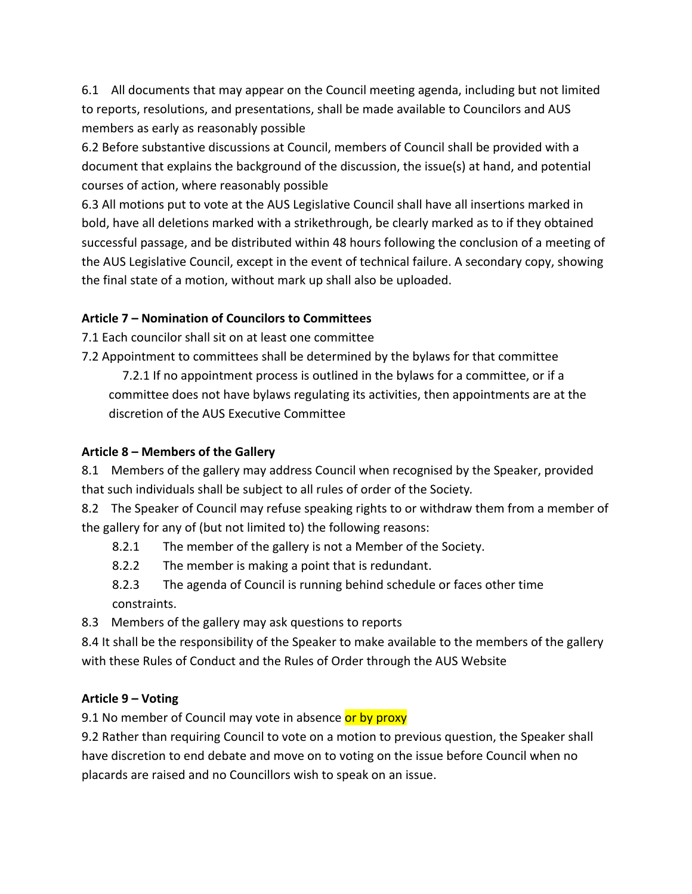6.1 All documents that may appear on the Council meeting agenda, including but not limited to reports, resolutions, and presentations, shall be made available to Councilors and AUS members as early as reasonably possible

6.2 Before substantive discussions at Council, members of Council shall be provided with a document that explains the background of the discussion, the issue(s) at hand, and potential courses of action, where reasonably possible

6.3 All motions put to vote at the AUS Legislative Council shall have all insertions marked in bold, have all deletions marked with a strikethrough, be clearly marked as to if they obtained successful passage, and be distributed within 48 hours following the conclusion of a meeting of the AUS Legislative Council, except in the event of technical failure. A secondary copy, showing the final state of a motion, without mark up shall also be uploaded.

### **Article 7 – Nomination of Councilors to Committees**

7.1 Each councilor shall sit on at least one committee

7.2 Appointment to committees shall be determined by the bylaws for that committee

7.2.1 If no appointment process is outlined in the bylaws for a committee, or if a committee does not have bylaws regulating its activities, then appointments are at the discretion of the AUS Executive Committee

#### **Article 8 – Members of the Gallery**

8.1 Members of the gallery may address Council when recognised by the Speaker, provided that such individuals shall be subject to all rules of order of the Society.

8.2 The Speaker of Council may refuse speaking rights to or withdraw them from a member of the gallery for any of (but not limited to) the following reasons:

- 8.2.1 The member of the gallery is not a Member of the Society.
- 8.2.2 The member is making a point that is redundant.
- 8.2.3 The agenda of Council is running behind schedule or faces other time constraints.

8.3 Members of the gallery may ask questions to reports

8.4 It shall be the responsibility of the Speaker to make available to the members of the gallery with these Rules of Conduct and the Rules of Order through the AUS Website

#### **Article 9 – Voting**

9.1 No member of Council may vote in absence or by proxy

9.2 Rather than requiring Council to vote on a motion to previous question, the Speaker shall have discretion to end debate and move on to voting on the issue before Council when no placards are raised and no Councillors wish to speak on an issue.